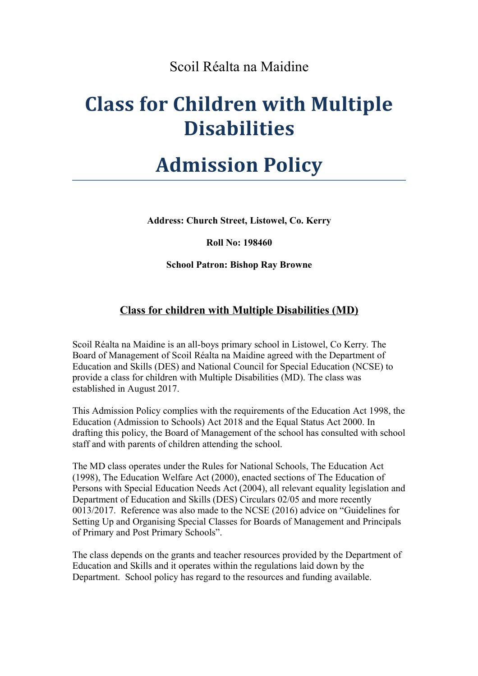### Scoil Réalta na Maidine

# **Class for Children with Multiple Disabilities**

# **Admission Policy**

**Address: Church Street, Listowel, Co. Kerry**

**Roll No: 198460**

**School Patron: Bishop Ray Browne**

#### **Class for children with Multiple Disabilities (MD)**

Scoil Réalta na Maidine is an all-boys primary school in Listowel, Co Kerry. The Board of Management of Scoil Réalta na Maidine agreed with the Department of Education and Skills (DES) and National Council for Special Education (NCSE) to provide a class for children with Multiple Disabilities (MD). The class was established in August 2017.

This Admission Policy complies with the requirements of the Education Act 1998, the Education (Admission to Schools) Act 2018 and the Equal Status Act 2000. In drafting this policy, the Board of Management of the school has consulted with school staff and with parents of children attending the school.

The MD class operates under the Rules for National Schools, The Education Act (1998), The Education Welfare Act (2000), enacted sections of The Education of Persons with Special Education Needs Act (2004), all relevant equality legislation and Department of Education and Skills (DES) Circulars 02/05 and more recently 0013/2017. Reference was also made to the NCSE (2016) advice on "Guidelines for Setting Up and Organising Special Classes for Boards of Management and Principals of Primary and Post Primary Schools".

The class depends on the grants and teacher resources provided by the Department of Education and Skills and it operates within the regulations laid down by the Department. School policy has regard to the resources and funding available.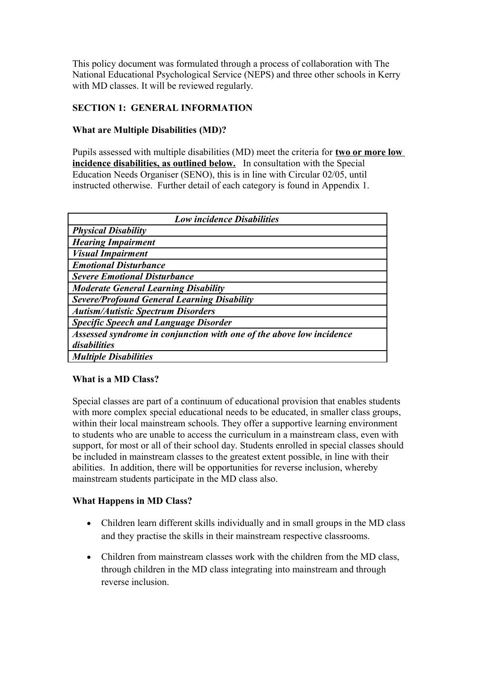This policy document was formulated through a process of collaboration with The National Educational Psychological Service (NEPS) and three other schools in Kerry with MD classes. It will be reviewed regularly.

#### **SECTION 1: GENERAL INFORMATION**

#### **What are Multiple Disabilities (MD)?**

Pupils assessed with multiple disabilities (MD) meet the criteria for **two or more low incidence disabilities, as outlined below.** In consultation with the Special Education Needs Organiser (SENO), this is in line with Circular 02/05, until instructed otherwise. Further detail of each category is found in Appendix 1.

| <b>Low incidence Disabilities</b>                                    |  |  |  |  |  |
|----------------------------------------------------------------------|--|--|--|--|--|
| <b>Physical Disability</b>                                           |  |  |  |  |  |
| <b>Hearing Impairment</b>                                            |  |  |  |  |  |
| <b>Visual Impairment</b>                                             |  |  |  |  |  |
| <b>Emotional Disturbance</b>                                         |  |  |  |  |  |
| <b>Severe Emotional Disturbance</b>                                  |  |  |  |  |  |
| <b>Moderate General Learning Disability</b>                          |  |  |  |  |  |
| <b>Severe/Profound General Learning Disability</b>                   |  |  |  |  |  |
| <b>Autism/Autistic Spectrum Disorders</b>                            |  |  |  |  |  |
| <b>Specific Speech and Language Disorder</b>                         |  |  |  |  |  |
| Assessed syndrome in conjunction with one of the above low incidence |  |  |  |  |  |
| disabilities                                                         |  |  |  |  |  |
| <b>Multiple Disabilities</b>                                         |  |  |  |  |  |

#### **What is a MD Class?**

Special classes are part of a continuum of educational provision that enables students with more complex special educational needs to be educated, in smaller class groups, within their local mainstream schools. They offer a supportive learning environment to students who are unable to access the curriculum in a mainstream class, even with support, for most or all of their school day. Students enrolled in special classes should be included in mainstream classes to the greatest extent possible, in line with their abilities. In addition, there will be opportunities for reverse inclusion, whereby mainstream students participate in the MD class also.

#### **What Happens in MD Class?**

- Children learn different skills individually and in small groups in the MD class and they practise the skills in their mainstream respective classrooms.
- Children from mainstream classes work with the children from the MD class, through children in the MD class integrating into mainstream and through reverse inclusion.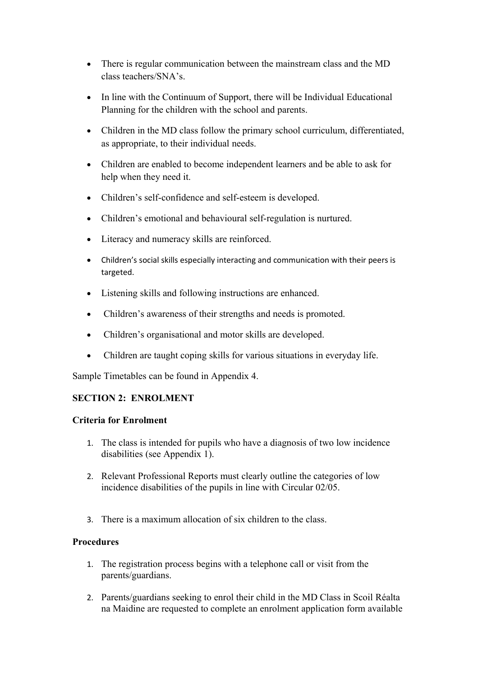- There is regular communication between the mainstream class and the MD class teachers/SNA's.
- In line with the Continuum of Support, there will be Individual Educational Planning for the children with the school and parents.
- Children in the MD class follow the primary school curriculum, differentiated, as appropriate, to their individual needs.
- Children are enabled to become independent learners and be able to ask for help when they need it.
- Children's self-confidence and self-esteem is developed.
- Children's emotional and behavioural self-regulation is nurtured.
- Literacy and numeracy skills are reinforced.
- Children's social skills especially interacting and communication with their peers is targeted.
- Listening skills and following instructions are enhanced.
- Children's awareness of their strengths and needs is promoted.
- Children's organisational and motor skills are developed.
- Children are taught coping skills for various situations in everyday life.

Sample Timetables can be found in Appendix 4.

#### **SECTION 2: ENROLMENT**

#### **Criteria for Enrolment**

- 1. The class is intended for pupils who have a diagnosis of two low incidence disabilities (see Appendix 1).
- 2. Relevant Professional Reports must clearly outline the categories of low incidence disabilities of the pupils in line with Circular 02/05.
- 3. There is a maximum allocation of six children to the class.

#### **Procedures**

- 1. The registration process begins with a telephone call or visit from the parents/guardians.
- 2. Parents/guardians seeking to enrol their child in the MD Class in Scoil Réalta na Maidine are requested to complete an enrolment application form available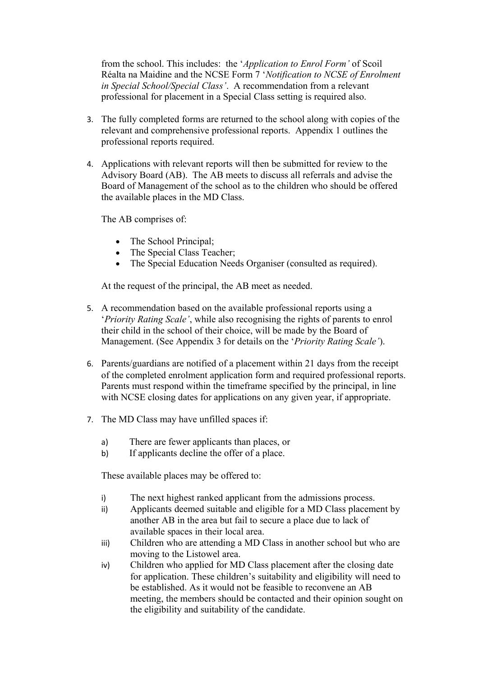from the school. This includes: the '*Application to Enrol Form'* of Scoil Réalta na Maidine and the NCSE Form 7 '*Notification to NCSE of Enrolment in Special School/Special Class'*. A recommendation from a relevant professional for placement in a Special Class setting is required also.

- 3. The fully completed forms are returned to the school along with copies of the relevant and comprehensive professional reports. Appendix 1 outlines the professional reports required.
- 4. Applications with relevant reports will then be submitted for review to the Advisory Board (AB). The AB meets to discuss all referrals and advise the Board of Management of the school as to the children who should be offered the available places in the MD Class.

The AB comprises of:

- The School Principal;
- The Special Class Teacher;
- The Special Education Needs Organiser (consulted as required).

At the request of the principal, the AB meet as needed.

- 5. A recommendation based on the available professional reports using a '*Priority Rating Scale'*, while also recognising the rights of parents to enrol their child in the school of their choice, will be made by the Board of Management. (See Appendix 3 for details on the '*Priority Rating Scale'*).
- 6. Parents/guardians are notified of a placement within 21 days from the receipt of the completed enrolment application form and required professional reports. Parents must respond within the timeframe specified by the principal, in line with NCSE closing dates for applications on any given year, if appropriate.
- 7. The MD Class may have unfilled spaces if:
	- a) There are fewer applicants than places, or
	- b) If applicants decline the offer of a place.

These available places may be offered to:

- i) The next highest ranked applicant from the admissions process.
- ii) Applicants deemed suitable and eligible for a MD Class placement by another AB in the area but fail to secure a place due to lack of available spaces in their local area.
- iii) Children who are attending a MD Class in another school but who are moving to the Listowel area.
- iv) Children who applied for MD Class placement after the closing date for application. These children's suitability and eligibility will need to be established. As it would not be feasible to reconvene an AB meeting, the members should be contacted and their opinion sought on the eligibility and suitability of the candidate.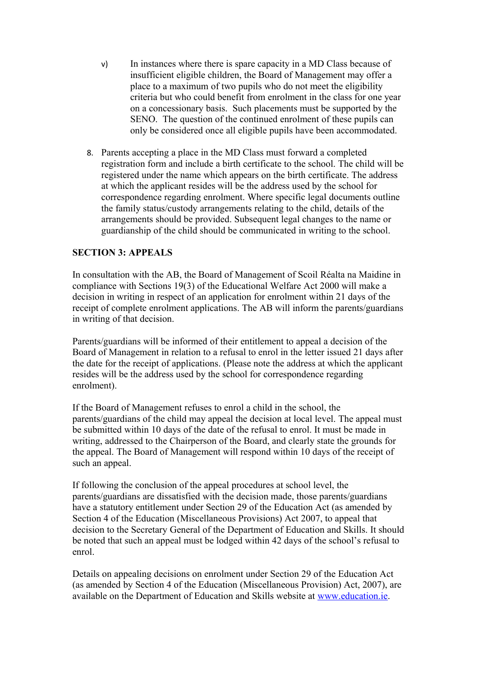- v) In instances where there is spare capacity in a MD Class because of insufficient eligible children, the Board of Management may offer a place to a maximum of two pupils who do not meet the eligibility criteria but who could benefit from enrolment in the class for one year on a concessionary basis. Such placements must be supported by the SENO. The question of the continued enrolment of these pupils can only be considered once all eligible pupils have been accommodated.
- 8. Parents accepting a place in the MD Class must forward a completed registration form and include a birth certificate to the school. The child will be registered under the name which appears on the birth certificate. The address at which the applicant resides will be the address used by the school for correspondence regarding enrolment. Where specific legal documents outline the family status/custody arrangements relating to the child, details of the arrangements should be provided. Subsequent legal changes to the name or guardianship of the child should be communicated in writing to the school.

#### **SECTION 3: APPEALS**

In consultation with the AB, the Board of Management of Scoil Réalta na Maidine in compliance with Sections 19(3) of the Educational Welfare Act 2000 will make a decision in writing in respect of an application for enrolment within 21 days of the receipt of complete enrolment applications. The AB will inform the parents/guardians in writing of that decision.

Parents/guardians will be informed of their entitlement to appeal a decision of the Board of Management in relation to a refusal to enrol in the letter issued 21 days after the date for the receipt of applications. (Please note the address at which the applicant resides will be the address used by the school for correspondence regarding enrolment).

If the Board of Management refuses to enrol a child in the school, the parents/guardians of the child may appeal the decision at local level. The appeal must be submitted within 10 days of the date of the refusal to enrol. It must be made in writing, addressed to the Chairperson of the Board, and clearly state the grounds for the appeal. The Board of Management will respond within 10 days of the receipt of such an appeal.

If following the conclusion of the appeal procedures at school level, the parents/guardians are dissatisfied with the decision made, those parents/guardians have a statutory entitlement under Section 29 of the Education Act (as amended by Section 4 of the Education (Miscellaneous Provisions) Act 2007, to appeal that decision to the Secretary General of the Department of Education and Skills. It should be noted that such an appeal must be lodged within 42 days of the school's refusal to enrol.

Details on appealing decisions on enrolment under Section 29 of the Education Act (as amended by Section 4 of the Education (Miscellaneous Provision) Act, 2007), are available on the Department of Education and Skills website at [www.education.ie.](http://www.education.ie/)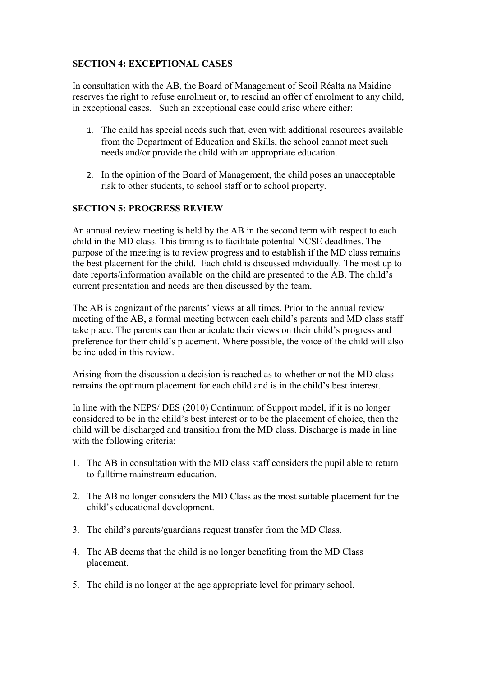#### **SECTION 4: EXCEPTIONAL CASES**

In consultation with the AB, the Board of Management of Scoil Réalta na Maidine reserves the right to refuse enrolment or, to rescind an offer of enrolment to any child, in exceptional cases. Such an exceptional case could arise where either:

- 1. The child has special needs such that, even with additional resources available from the Department of Education and Skills, the school cannot meet such needs and/or provide the child with an appropriate education.
- 2. In the opinion of the Board of Management, the child poses an unacceptable risk to other students, to school staff or to school property.

#### **SECTION 5: PROGRESS REVIEW**

An annual review meeting is held by the AB in the second term with respect to each child in the MD class. This timing is to facilitate potential NCSE deadlines. The purpose of the meeting is to review progress and to establish if the MD class remains the best placement for the child. Each child is discussed individually. The most up to date reports/information available on the child are presented to the AB. The child's current presentation and needs are then discussed by the team.

The AB is cognizant of the parents' views at all times. Prior to the annual review meeting of the AB, a formal meeting between each child's parents and MD class staff take place. The parents can then articulate their views on their child's progress and preference for their child's placement. Where possible, the voice of the child will also be included in this review.

Arising from the discussion a decision is reached as to whether or not the MD class remains the optimum placement for each child and is in the child's best interest.

In line with the NEPS/ DES (2010) Continuum of Support model, if it is no longer considered to be in the child's best interest or to be the placement of choice, then the child will be discharged and transition from the MD class. Discharge is made in line with the following criteria:

- 1. The AB in consultation with the MD class staff considers the pupil able to return to fulltime mainstream education.
- 2. The AB no longer considers the MD Class as the most suitable placement for the child's educational development.
- 3. The child's parents/guardians request transfer from the MD Class.
- 4. The AB deems that the child is no longer benefiting from the MD Class placement.
- 5. The child is no longer at the age appropriate level for primary school.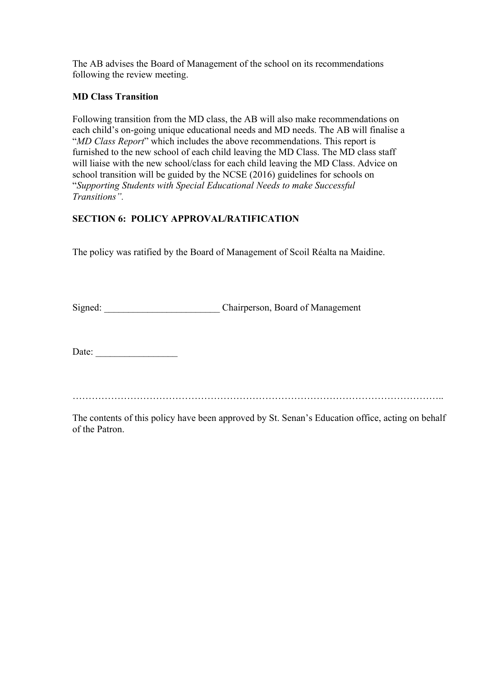The AB advises the Board of Management of the school on its recommendations following the review meeting.

#### **MD Class Transition**

Following transition from the MD class, the AB will also make recommendations on each child's on-going unique educational needs and MD needs. The AB will finalise a "*MD Class Report*" which includes the above recommendations. This report is furnished to the new school of each child leaving the MD Class. The MD class staff will liaise with the new school/class for each child leaving the MD Class. Advice on school transition will be guided by the NCSE (2016) guidelines for schools on "*Supporting Students with Special Educational Needs to make Successful Transitions".* 

#### **SECTION 6: POLICY APPROVAL/RATIFICATION**

The policy was ratified by the Board of Management of Scoil Réalta na Maidine.

Signed: \_\_\_\_\_\_\_\_\_\_\_\_\_\_\_\_\_\_\_\_\_\_\_\_ Chairperson, Board of Management

Date: \_\_\_\_\_\_\_\_\_\_\_\_\_\_\_\_\_

……………………………………………………………………………………………………..

The contents of this policy have been approved by St. Senan's Education office, acting on behalf of the Patron.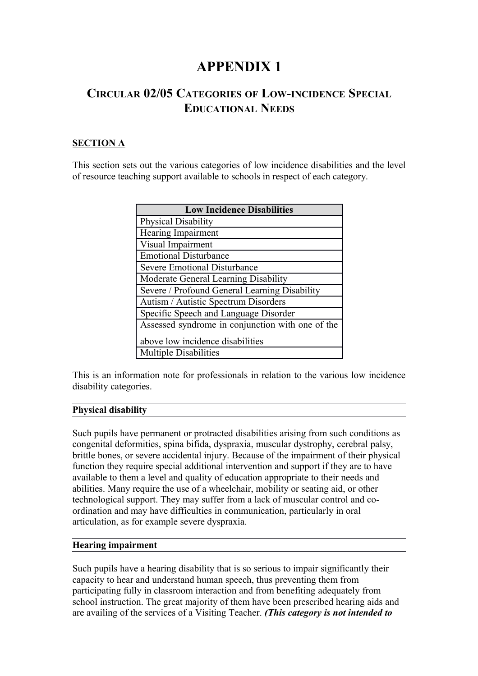## **APPENDIX 1**

### **CIRCULAR 02/05 CATEGORIES OF LOW-INCIDENCE SPECIAL EDUCATIONAL NEEDS**

#### **SECTION A**

This section sets out the various categories of low incidence disabilities and the level of resource teaching support available to schools in respect of each category.

| <b>Low Incidence Disabilities</b>                |  |  |  |  |  |
|--------------------------------------------------|--|--|--|--|--|
| <b>Physical Disability</b>                       |  |  |  |  |  |
| Hearing Impairment                               |  |  |  |  |  |
| Visual Impairment                                |  |  |  |  |  |
| <b>Emotional Disturbance</b>                     |  |  |  |  |  |
| <b>Severe Emotional Disturbance</b>              |  |  |  |  |  |
| Moderate General Learning Disability             |  |  |  |  |  |
| Severe / Profound General Learning Disability    |  |  |  |  |  |
| Autism / Autistic Spectrum Disorders             |  |  |  |  |  |
| Specific Speech and Language Disorder            |  |  |  |  |  |
| Assessed syndrome in conjunction with one of the |  |  |  |  |  |
| above low incidence disabilities                 |  |  |  |  |  |
| <b>Multiple Disabilities</b>                     |  |  |  |  |  |

This is an information note for professionals in relation to the various low incidence disability categories.

#### **Physical disability**

Such pupils have permanent or protracted disabilities arising from such conditions as congenital deformities, spina bifida, dyspraxia, muscular dystrophy, cerebral palsy, brittle bones, or severe accidental injury. Because of the impairment of their physical function they require special additional intervention and support if they are to have available to them a level and quality of education appropriate to their needs and abilities. Many require the use of a wheelchair, mobility or seating aid, or other technological support. They may suffer from a lack of muscular control and coordination and may have difficulties in communication, particularly in oral articulation, as for example severe dyspraxia.

#### **Hearing impairment**

Such pupils have a hearing disability that is so serious to impair significantly their capacity to hear and understand human speech, thus preventing them from participating fully in classroom interaction and from benefiting adequately from school instruction. The great majority of them have been prescribed hearing aids and are availing of the services of a Visiting Teacher. *(This category is not intended to*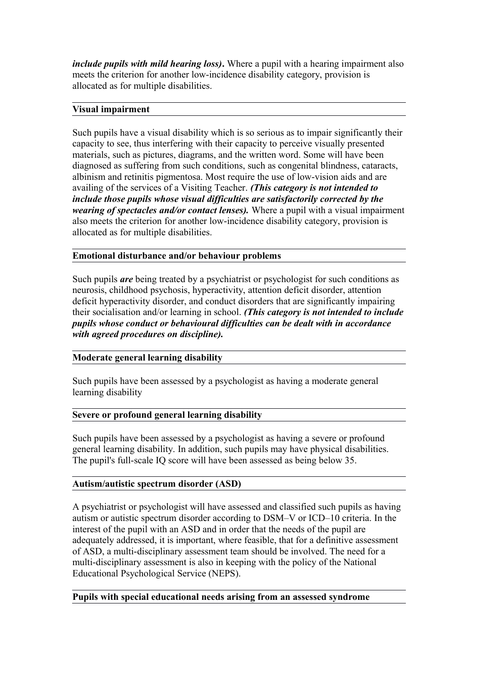*include pupils with mild hearing loss)***.** Where a pupil with a hearing impairment also meets the criterion for another low-incidence disability category, provision is allocated as for multiple disabilities.

#### **Visual impairment**

Such pupils have a visual disability which is so serious as to impair significantly their capacity to see, thus interfering with their capacity to perceive visually presented materials, such as pictures, diagrams, and the written word. Some will have been diagnosed as suffering from such conditions, such as congenital blindness, cataracts, albinism and retinitis pigmentosa. Most require the use of low-vision aids and are availing of the services of a Visiting Teacher. *(This category is not intended to include those pupils whose visual difficulties are satisfactorily corrected by the wearing of spectacles and/or contact lenses).* Where a pupil with a visual impairment also meets the criterion for another low-incidence disability category, provision is allocated as for multiple disabilities.

#### **Emotional disturbance and/or behaviour problems**

Such pupils *are* being treated by a psychiatrist or psychologist for such conditions as neurosis, childhood psychosis, hyperactivity, attention deficit disorder, attention deficit hyperactivity disorder, and conduct disorders that are significantly impairing their socialisation and/or learning in school. *(This category is not intended to include pupils whose conduct or behavioural difficulties can be dealt with in accordance with agreed procedures on discipline).*

#### **Moderate general learning disability**

Such pupils have been assessed by a psychologist as having a moderate general learning disability

#### **Severe or profound general learning disability**

Such pupils have been assessed by a psychologist as having a severe or profound general learning disability. In addition, such pupils may have physical disabilities. The pupil's full-scale IQ score will have been assessed as being below 35.

#### **Autism/autistic spectrum disorder (ASD)**

A psychiatrist or psychologist will have assessed and classified such pupils as having autism or autistic spectrum disorder according to DSM–V or ICD–10 criteria. In the interest of the pupil with an ASD and in order that the needs of the pupil are adequately addressed, it is important, where feasible, that for a definitive assessment of ASD, a multi-disciplinary assessment team should be involved. The need for a multi-disciplinary assessment is also in keeping with the policy of the National Educational Psychological Service (NEPS).

#### **Pupils with special educational needs arising from an assessed syndrome**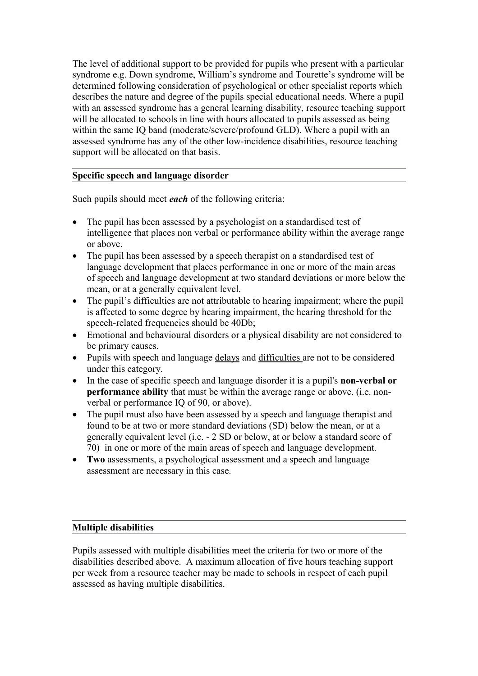The level of additional support to be provided for pupils who present with a particular syndrome e.g. Down syndrome, William's syndrome and Tourette's syndrome will be determined following consideration of psychological or other specialist reports which describes the nature and degree of the pupils special educational needs. Where a pupil with an assessed syndrome has a general learning disability, resource teaching support will be allocated to schools in line with hours allocated to pupils assessed as being within the same IQ band (moderate/severe/profound GLD). Where a pupil with an assessed syndrome has any of the other low-incidence disabilities, resource teaching support will be allocated on that basis.

#### **Specific speech and language disorder**

Such pupils should meet *each* of the following criteria:

- The pupil has been assessed by a psychologist on a standardised test of intelligence that places non verbal or performance ability within the average range or above.
- The pupil has been assessed by a speech therapist on a standardised test of language development that places performance in one or more of the main areas of speech and language development at two standard deviations or more below the mean, or at a generally equivalent level.
- The pupil's difficulties are not attributable to hearing impairment; where the pupil is affected to some degree by hearing impairment, the hearing threshold for the speech-related frequencies should be 40Db;
- Emotional and behavioural disorders or a physical disability are not considered to be primary causes.
- Pupils with speech and language delays and difficulties are not to be considered under this category.
- In the case of specific speech and language disorder it is a pupil's **non-verbal or performance ability** that must be within the average range or above. (i.e. nonverbal or performance IQ of 90, or above).
- The pupil must also have been assessed by a speech and language therapist and found to be at two or more standard deviations (SD) below the mean, or at a generally equivalent level (i.e. - 2 SD or below, at or below a standard score of 70) in one or more of the main areas of speech and language development.
- **Two** assessments, a psychological assessment and a speech and language assessment are necessary in this case.

#### **Multiple disabilities**

Pupils assessed with multiple disabilities meet the criteria for two or more of the disabilities described above. A maximum allocation of five hours teaching support per week from a resource teacher may be made to schools in respect of each pupil assessed as having multiple disabilities.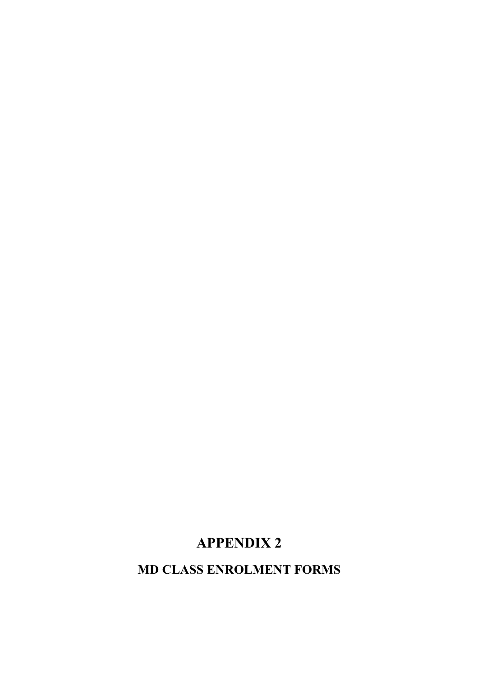# **APPENDIX 2**

**MD CLASS ENROLMENT FORMS**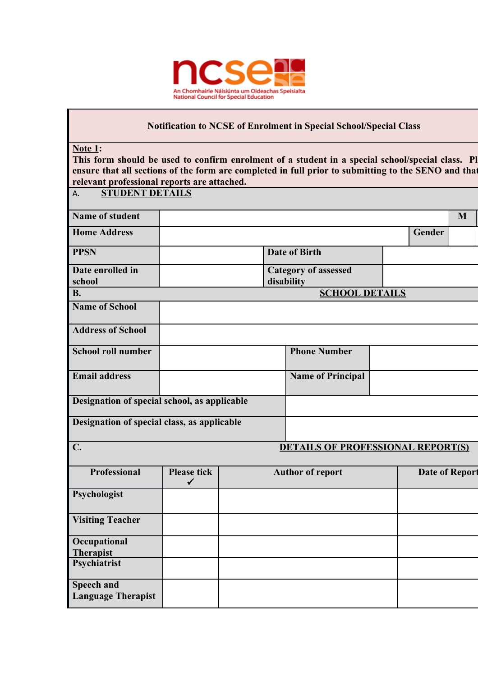

#### **Notification to NCSE of Enrolment in Special School/Special Class**

**Note 1:** 

This form should be used to confirm enrolment of a student in a special school/special class. Pl ensure that all sections of the form are completed in full prior to submitting to the SENO and that **relevant professional reports are attached.**

| <b>STUDENT DETAILS</b><br>A.                     |  |  |                             |  |        |   |
|--------------------------------------------------|--|--|-----------------------------|--|--------|---|
| <b>Name of student</b>                           |  |  |                             |  |        | M |
| <b>Home Address</b>                              |  |  |                             |  | Gender |   |
| <b>PPSN</b>                                      |  |  | <b>Date of Birth</b>        |  |        |   |
| Date enrolled in                                 |  |  | <b>Category of assessed</b> |  |        |   |
| school                                           |  |  | disability                  |  |        |   |
| <b>B.</b>                                        |  |  | <b>SCHOOL DETAILS</b>       |  |        |   |
| <b>Name of School</b>                            |  |  |                             |  |        |   |
| <b>Address of School</b>                         |  |  |                             |  |        |   |
| <b>School roll number</b>                        |  |  | <b>Phone Number</b>         |  |        |   |
| <b>Email address</b><br><b>Name of Principal</b> |  |  |                             |  |        |   |
| Designation of special school, as applicable     |  |  |                             |  |        |   |
| Designation of special class, as applicable      |  |  |                             |  |        |   |

### **C. C. DETAILS OF PROFESSIONAL REPORT(S)**

| <b>Professional</b>                            | <b>Please tick</b> | <b>Author of report</b> | <b>Date of Report</b> |
|------------------------------------------------|--------------------|-------------------------|-----------------------|
| Psychologist                                   |                    |                         |                       |
| <b>Visiting Teacher</b>                        |                    |                         |                       |
| Occupational<br>Therapist                      |                    |                         |                       |
| Psychiatrist                                   |                    |                         |                       |
| <b>Speech and</b><br><b>Language Therapist</b> |                    |                         |                       |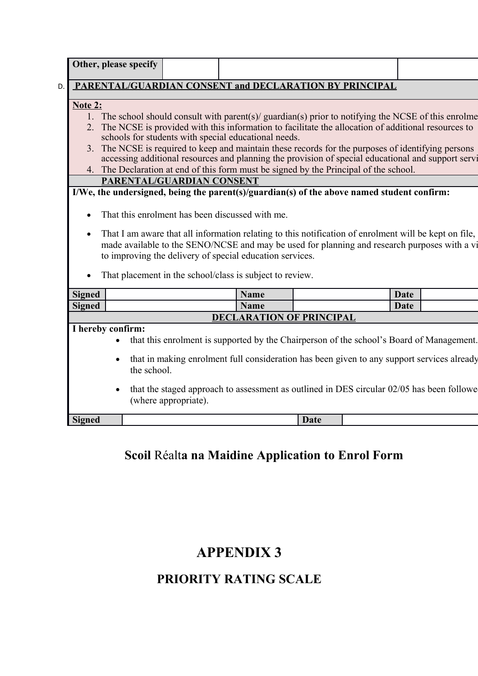|    |                                                                                                                                                                                                                                                                       |                   | Other, please specify     |  |  |  |                                                          |                                 |                                                                                            |             |                                                                                                       |
|----|-----------------------------------------------------------------------------------------------------------------------------------------------------------------------------------------------------------------------------------------------------------------------|-------------------|---------------------------|--|--|--|----------------------------------------------------------|---------------------------------|--------------------------------------------------------------------------------------------|-------------|-------------------------------------------------------------------------------------------------------|
| D. |                                                                                                                                                                                                                                                                       |                   |                           |  |  |  |                                                          |                                 | PARENTAL/GUARDIAN CONSENT and DECLARATION BY PRINCIPAL                                     |             |                                                                                                       |
|    |                                                                                                                                                                                                                                                                       |                   |                           |  |  |  |                                                          |                                 |                                                                                            |             |                                                                                                       |
|    | Note 2:                                                                                                                                                                                                                                                               |                   |                           |  |  |  |                                                          |                                 |                                                                                            |             |                                                                                                       |
|    |                                                                                                                                                                                                                                                                       |                   |                           |  |  |  |                                                          |                                 |                                                                                            |             |                                                                                                       |
|    | 1. The school should consult with parent(s)/ guardian(s) prior to notifying the NCSE of this enrolme<br>2. The NCSE is provided with this information to facilitate the allocation of additional resources to<br>schools for students with special educational needs. |                   |                           |  |  |  |                                                          |                                 |                                                                                            |             |                                                                                                       |
|    |                                                                                                                                                                                                                                                                       |                   |                           |  |  |  |                                                          |                                 |                                                                                            |             | 3. The NCSE is required to keep and maintain these records for the purposes of identifying persons    |
|    |                                                                                                                                                                                                                                                                       |                   |                           |  |  |  |                                                          |                                 |                                                                                            |             | accessing additional resources and planning the provision of special educational and support servi    |
|    |                                                                                                                                                                                                                                                                       |                   |                           |  |  |  |                                                          |                                 | 4. The Declaration at end of this form must be signed by the Principal of the school.      |             |                                                                                                       |
|    |                                                                                                                                                                                                                                                                       |                   | PARENTAL/GUARDIAN CONSENT |  |  |  |                                                          |                                 |                                                                                            |             |                                                                                                       |
|    |                                                                                                                                                                                                                                                                       |                   |                           |  |  |  |                                                          |                                 | I/We, the undersigned, being the parent(s)/guardian(s) of the above named student confirm: |             |                                                                                                       |
|    |                                                                                                                                                                                                                                                                       |                   |                           |  |  |  |                                                          |                                 |                                                                                            |             |                                                                                                       |
|    |                                                                                                                                                                                                                                                                       |                   |                           |  |  |  | That this enrolment has been discussed with me.          |                                 |                                                                                            |             |                                                                                                       |
|    | $\bullet$                                                                                                                                                                                                                                                             |                   |                           |  |  |  |                                                          |                                 |                                                                                            |             | That I am aware that all information relating to this notification of enrolment will be kept on file, |
|    |                                                                                                                                                                                                                                                                       |                   |                           |  |  |  |                                                          |                                 |                                                                                            |             | made available to the SENO/NCSE and may be used for planning and research purposes with a vi          |
|    |                                                                                                                                                                                                                                                                       |                   |                           |  |  |  | to improving the delivery of special education services. |                                 |                                                                                            |             |                                                                                                       |
|    |                                                                                                                                                                                                                                                                       |                   |                           |  |  |  |                                                          |                                 |                                                                                            |             |                                                                                                       |
|    |                                                                                                                                                                                                                                                                       |                   |                           |  |  |  | That placement in the school/class is subject to review. |                                 |                                                                                            |             |                                                                                                       |
|    |                                                                                                                                                                                                                                                                       |                   |                           |  |  |  |                                                          |                                 |                                                                                            |             |                                                                                                       |
|    | <b>Signed</b>                                                                                                                                                                                                                                                         |                   |                           |  |  |  | Name                                                     |                                 |                                                                                            | Date        |                                                                                                       |
|    | <b>Signed</b>                                                                                                                                                                                                                                                         |                   |                           |  |  |  | Name                                                     |                                 |                                                                                            | <b>Date</b> |                                                                                                       |
|    |                                                                                                                                                                                                                                                                       |                   |                           |  |  |  |                                                          | <b>DECLARATION OF PRINCIPAL</b> |                                                                                            |             |                                                                                                       |
|    |                                                                                                                                                                                                                                                                       | I hereby confirm: |                           |  |  |  |                                                          |                                 |                                                                                            |             |                                                                                                       |
|    |                                                                                                                                                                                                                                                                       |                   |                           |  |  |  |                                                          |                                 |                                                                                            |             | that this enrolment is supported by the Chairperson of the school's Board of Management.              |
|    | that in making enrolment full consideration has been given to any support services already                                                                                                                                                                            |                   |                           |  |  |  |                                                          |                                 |                                                                                            |             |                                                                                                       |
|    |                                                                                                                                                                                                                                                                       |                   | the school.               |  |  |  |                                                          |                                 |                                                                                            |             |                                                                                                       |
|    |                                                                                                                                                                                                                                                                       |                   | (where appropriate).      |  |  |  |                                                          |                                 |                                                                                            |             | that the staged approach to assessment as outlined in DES circular 02/05 has been followe             |
|    | <b>Signed</b>                                                                                                                                                                                                                                                         |                   |                           |  |  |  |                                                          | <b>Date</b>                     |                                                                                            |             |                                                                                                       |
|    |                                                                                                                                                                                                                                                                       |                   |                           |  |  |  |                                                          |                                 |                                                                                            |             |                                                                                                       |

# **Scoil** Réalt**a na Maidine Application to Enrol Form**

# **APPENDIX 3**

# **PRIORITY RATING SCALE**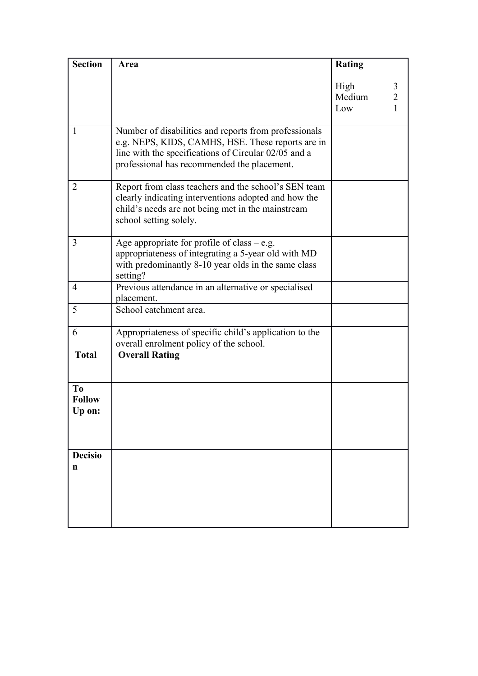| <b>Section</b>                            | Area                                                                                                                                                                                                              | <b>Rating</b>         |                          |
|-------------------------------------------|-------------------------------------------------------------------------------------------------------------------------------------------------------------------------------------------------------------------|-----------------------|--------------------------|
|                                           |                                                                                                                                                                                                                   | High<br>Medium<br>Low | 3<br>$\overline{2}$<br>1 |
| 1                                         | Number of disabilities and reports from professionals<br>e.g. NEPS, KIDS, CAMHS, HSE. These reports are in<br>line with the specifications of Circular 02/05 and a<br>professional has recommended the placement. |                       |                          |
| 2                                         | Report from class teachers and the school's SEN team<br>clearly indicating interventions adopted and how the<br>child's needs are not being met in the mainstream<br>school setting solely.                       |                       |                          |
| $\overline{3}$                            | Age appropriate for profile of class $-$ e.g.<br>appropriateness of integrating a 5-year old with MD<br>with predominantly 8-10 year olds in the same class<br>setting?                                           |                       |                          |
| $\overline{4}$                            | Previous attendance in an alternative or specialised<br>placement.                                                                                                                                                |                       |                          |
| 5                                         | School catchment area.                                                                                                                                                                                            |                       |                          |
| 6                                         | Appropriateness of specific child's application to the<br>overall enrolment policy of the school.                                                                                                                 |                       |                          |
| <b>Total</b>                              | <b>Overall Rating</b>                                                                                                                                                                                             |                       |                          |
| T <sub>0</sub><br><b>Follow</b><br>Up on: |                                                                                                                                                                                                                   |                       |                          |
| <b>Decisio</b><br>n                       |                                                                                                                                                                                                                   |                       |                          |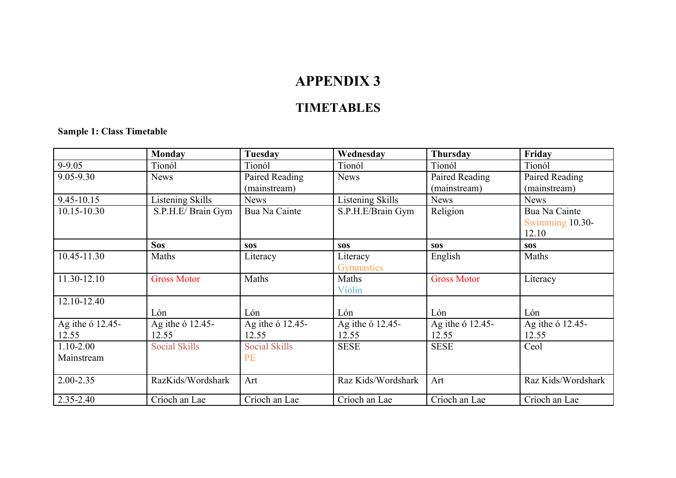# **APPENDIX 3**

### **TIMETABLES**

#### **Sample 1: Class Timetable**

|                  | <b>Monday</b>        | Tuesday              | Wednesday          | Thursday           | Friday             |
|------------------|----------------------|----------------------|--------------------|--------------------|--------------------|
| 9-9.05           | Tionól               | Tionól               | Tionól             | Tionól             | Tionól             |
| 9.05-9.30        | <b>News</b>          | Paired Reading       | <b>News</b>        | Paired Reading     | Paired Reading     |
|                  |                      | (mainstream)         |                    | (mainstream)       | (mainstream)       |
| $9.45 - 10.15$   | Listening Skills     | <b>News</b>          | Listening Skills   | <b>News</b>        | <b>News</b>        |
| 10.15-10.30      | S.P.H.E/ Brain Gym   | Bua Na Cainte        | S.P.H.E/Brain Gym  | Religion           | Bua Na Cainte      |
|                  |                      |                      |                    |                    | Swimming 10.30-    |
|                  |                      |                      |                    |                    | 12.10              |
|                  | <b>Sos</b>           | <b>SOS</b>           | <b>SOS</b>         | <b>SOS</b>         | <b>SOS</b>         |
| 10.45-11.30      | Maths                | Literacy             | Literacy           | English            | Maths              |
|                  |                      |                      | Gymnastics         |                    |                    |
| 11.30-12.10      | <b>Gross Motor</b>   | Maths                | Maths              | <b>Gross Motor</b> | Literacy           |
|                  |                      |                      | Violin             |                    |                    |
| 12.10-12.40      |                      |                      |                    |                    |                    |
|                  | Lón                  | Lón                  | Lón                | Lón                | Lón                |
| Ag ithe 6 12.45- | Ag ithe 6 12.45-     | Ag ithe 6 12.45-     | Ag ithe 6 12.45-   | Ag ithe 6 12.45-   | Ag ithe 6 12.45-   |
| 12.55            | 12.55                | 12.55                | 12.55              | 12.55              | 12.55              |
| $1.10 - 2.00$    | <b>Social Skills</b> | <b>Social Skills</b> | <b>SESE</b>        | <b>SESE</b>        | Ceol               |
| Mainstream       |                      | <b>PE</b>            |                    |                    |                    |
|                  |                      |                      |                    |                    |                    |
| 2.00-2.35        | RazKids/Wordshark    | Art                  | Raz Kids/Wordshark | Art                | Raz Kids/Wordshark |
| $2.35 - 2.40$    | Críoch an Lae        | Críoch an Lae        | Críoch an Lae      | Críoch an Lae      | Críoch an Lae      |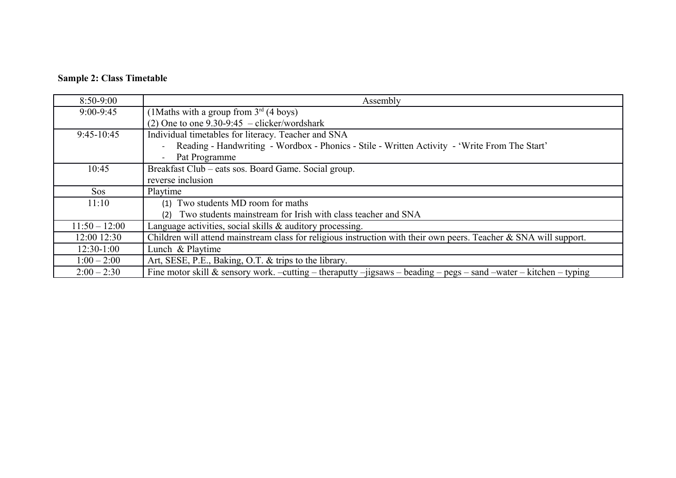### **Sample 2: Class Timetable**

| $8:50-9:00$     | Assembly                                                                                                            |
|-----------------|---------------------------------------------------------------------------------------------------------------------|
| $9:00 - 9:45$   | (1Maths with a group from $3^{rd}$ (4 boys)                                                                         |
|                 | (2) One to one $9.30 - 9:45$ – clicker/wordshark                                                                    |
| $9:45-10:45$    | Individual timetables for literacy. Teacher and SNA                                                                 |
|                 | Reading - Handwriting - Wordbox - Phonics - Stile - Written Activity - 'Write From The Start'                       |
|                 | Pat Programme                                                                                                       |
| 10:45           | Breakfast Club – eats sos. Board Game. Social group.                                                                |
|                 | reverse inclusion                                                                                                   |
| <b>Sos</b>      | Playtime                                                                                                            |
| 11:10           | (1) Two students MD room for maths                                                                                  |
|                 | Two students mainstream for Irish with class teacher and SNA<br>(2)                                                 |
| $11:50 - 12:00$ | Language activities, social skills & auditory processing.                                                           |
| 12:00 12:30     | Children will attend mainstream class for religious instruction with their own peers. Teacher $&$ SNA will support. |
| $12:30-1:00$    | Lunch & Playtime                                                                                                    |
| $1:00 - 2:00$   | Art, SESE, P.E., Baking, O.T. & trips to the library.                                                               |
| $2:00 - 2:30$   | Fine motor skill & sensory work. -cutting - theraputty -jigsaws - beading - pegs - sand -water - kitchen - typing   |